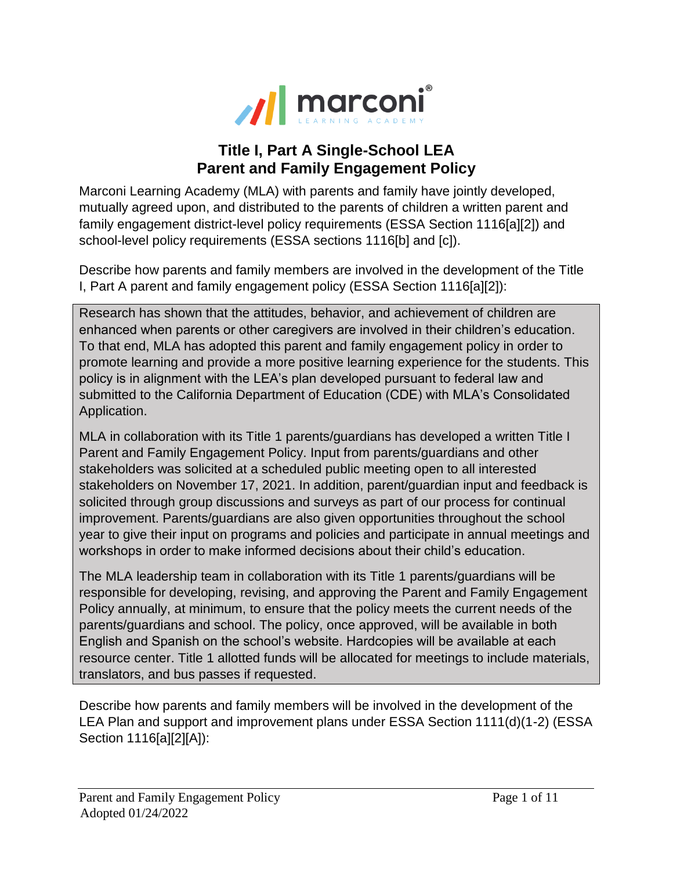

## **Title I, Part A Single-School LEA Parent and Family Engagement Policy**

Marconi Learning Academy (MLA) with parents and family have jointly developed, mutually agreed upon, and distributed to the parents of children a written parent and family engagement district-level policy requirements (ESSA Section 1116[a][2]) and school-level policy requirements (ESSA sections 1116[b] and [c]).

Describe how parents and family members are involved in the development of the Title I, Part A parent and family engagement policy (ESSA Section 1116[a][2]):

Research has shown that the attitudes, behavior, and achievement of children are enhanced when parents or other caregivers are involved in their children's education. To that end, MLA has adopted this parent and family engagement policy in order to promote learning and provide a more positive learning experience for the students. This policy is in alignment with the LEA's plan developed pursuant to federal law and submitted to the California Department of Education (CDE) with MLA's Consolidated Application.

MLA in collaboration with its Title 1 parents/guardians has developed a written Title I Parent and Family Engagement Policy. Input from parents/guardians and other stakeholders was solicited at a scheduled public meeting open to all interested stakeholders on November 17, 2021. In addition, parent/guardian input and feedback is solicited through group discussions and surveys as part of our process for continual improvement. Parents/guardians are also given opportunities throughout the school year to give their input on programs and policies and participate in annual meetings and workshops in order to make informed decisions about their child's education.

The MLA leadership team in collaboration with its Title 1 parents/guardians will be responsible for developing, revising, and approving the Parent and Family Engagement Policy annually, at minimum, to ensure that the policy meets the current needs of the parents/guardians and school. The policy, once approved, will be available in both English and Spanish on the school's website. Hardcopies will be available at each resource center. Title 1 allotted funds will be allocated for meetings to include materials, translators, and bus passes if requested.

Describe how parents and family members will be involved in the development of the LEA Plan and support and improvement plans under ESSA Section 1111(d)(1-2) (ESSA Section 1116[a][2][A]):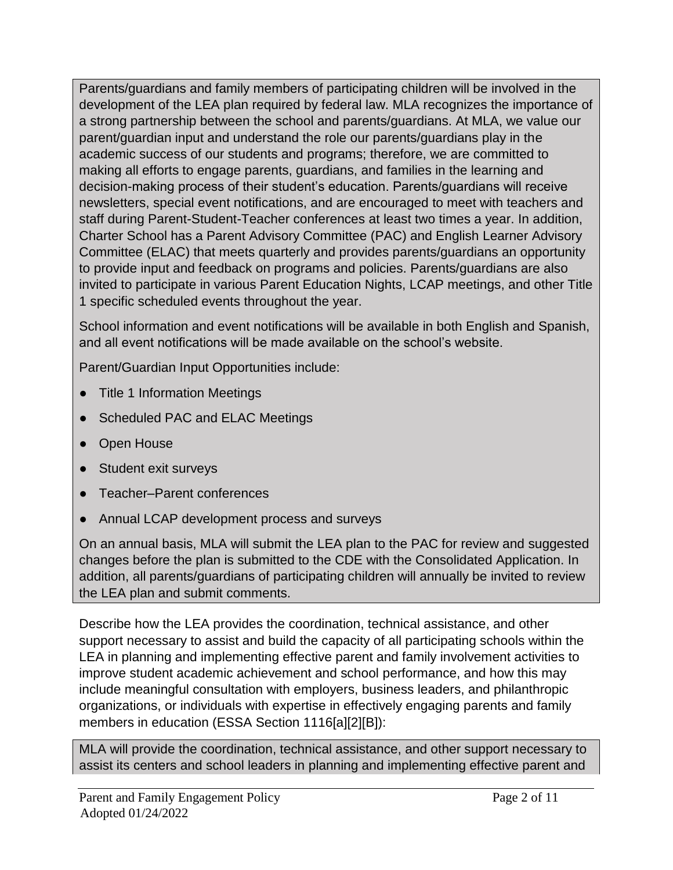Parents/guardians and family members of participating children will be involved in the development of the LEA plan required by federal law. MLA recognizes the importance of a strong partnership between the school and parents/guardians. At MLA, we value our parent/guardian input and understand the role our parents/guardians play in the academic success of our students and programs; therefore, we are committed to making all efforts to engage parents, guardians, and families in the learning and decision-making process of their student's education. Parents/guardians will receive newsletters, special event notifications, and are encouraged to meet with teachers and staff during Parent-Student-Teacher conferences at least two times a year. In addition, Charter School has a Parent Advisory Committee (PAC) and English Learner Advisory Committee (ELAC) that meets quarterly and provides parents/guardians an opportunity to provide input and feedback on programs and policies. Parents/guardians are also invited to participate in various Parent Education Nights, LCAP meetings, and other Title 1 specific scheduled events throughout the year.

School information and event notifications will be available in both English and Spanish, and all event notifications will be made available on the school's website.

Parent/Guardian Input Opportunities include:

- Title 1 Information Meetings
- Scheduled PAC and ELAC Meetings
- Open House
- Student exit surveys
- Teacher–Parent conferences
- Annual LCAP development process and surveys

On an annual basis, MLA will submit the LEA plan to the PAC for review and suggested changes before the plan is submitted to the CDE with the Consolidated Application. In addition, all parents/guardians of participating children will annually be invited to review the LEA plan and submit comments.

Describe how the LEA provides the coordination, technical assistance, and other support necessary to assist and build the capacity of all participating schools within the LEA in planning and implementing effective parent and family involvement activities to improve student academic achievement and school performance, and how this may include meaningful consultation with employers, business leaders, and philanthropic organizations, or individuals with expertise in effectively engaging parents and family members in education (ESSA Section 1116[a][2][B]):

MLA will provide the coordination, technical assistance, and other support necessary to assist its centers and school leaders in planning and implementing effective parent and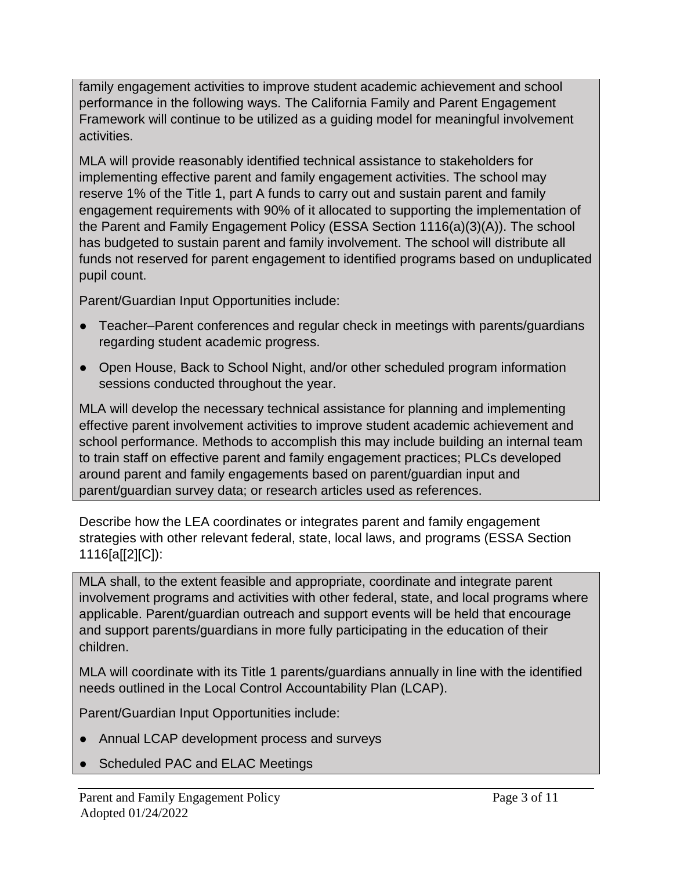family engagement activities to improve student academic achievement and school performance in the following ways. The California Family and Parent Engagement Framework will continue to be utilized as a guiding model for meaningful involvement activities.

MLA will provide reasonably identified technical assistance to stakeholders for implementing effective parent and family engagement activities. The school may reserve 1% of the Title 1, part A funds to carry out and sustain parent and family engagement requirements with 90% of it allocated to supporting the implementation of the Parent and Family Engagement Policy (ESSA Section 1116(a)(3)(A)). The school has budgeted to sustain parent and family involvement. The school will distribute all funds not reserved for parent engagement to identified programs based on unduplicated pupil count.

Parent/Guardian Input Opportunities include:

- Teacher–Parent conferences and regular check in meetings with parents/guardians regarding student academic progress.
- Open House, Back to School Night, and/or other scheduled program information sessions conducted throughout the year.

MLA will develop the necessary technical assistance for planning and implementing effective parent involvement activities to improve student academic achievement and school performance. Methods to accomplish this may include building an internal team to train staff on effective parent and family engagement practices; PLCs developed around parent and family engagements based on parent/guardian input and parent/guardian survey data; or research articles used as references.

Describe how the LEA coordinates or integrates parent and family engagement strategies with other relevant federal, state, local laws, and programs (ESSA Section 1116[a[[2][C]):

MLA shall, to the extent feasible and appropriate, coordinate and integrate parent involvement programs and activities with other federal, state, and local programs where applicable. Parent/guardian outreach and support events will be held that encourage and support parents/guardians in more fully participating in the education of their children.

MLA will coordinate with its Title 1 parents/guardians annually in line with the identified needs outlined in the Local Control Accountability Plan (LCAP).

Parent/Guardian Input Opportunities include:

- Annual LCAP development process and surveys
- Scheduled PAC and ELAC Meetings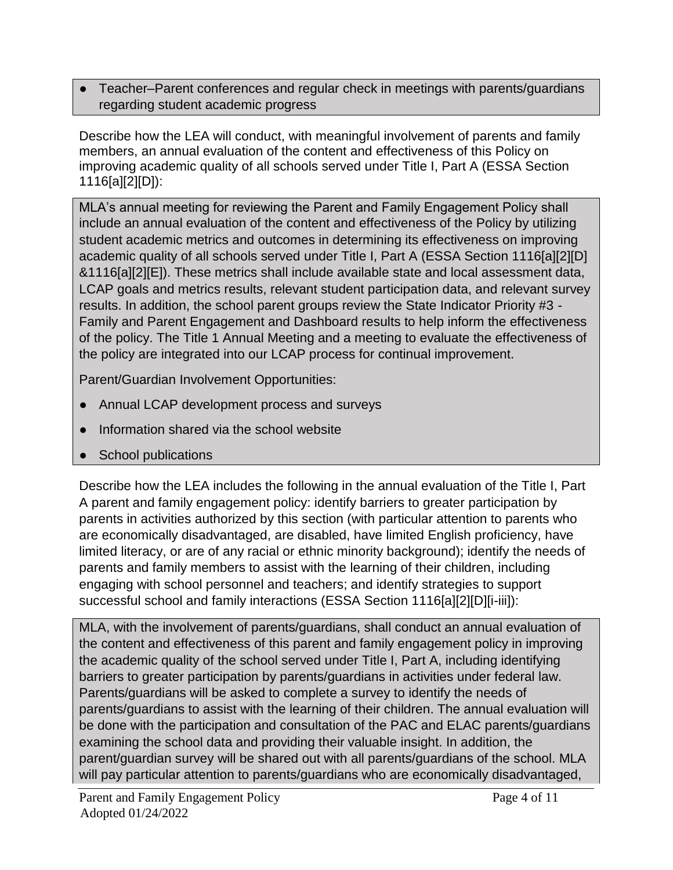Teacher–Parent conferences and regular check in meetings with parents/guardians regarding student academic progress

Describe how the LEA will conduct, with meaningful involvement of parents and family members, an annual evaluation of the content and effectiveness of this Policy on improving academic quality of all schools served under Title I, Part A (ESSA Section 1116[a][2][D]):

MLA's annual meeting for reviewing the Parent and Family Engagement Policy shall include an annual evaluation of the content and effectiveness of the Policy by utilizing student academic metrics and outcomes in determining its effectiveness on improving academic quality of all schools served under Title I, Part A (ESSA Section 1116[a][2][D] &1116[a][2][E]). These metrics shall include available state and local assessment data, LCAP goals and metrics results, relevant student participation data, and relevant survey results. In addition, the school parent groups review the State Indicator Priority #3 - Family and Parent Engagement and Dashboard results to help inform the effectiveness of the policy. The Title 1 Annual Meeting and a meeting to evaluate the effectiveness of the policy are integrated into our LCAP process for continual improvement.

Parent/Guardian Involvement Opportunities:

- Annual LCAP development process and surveys
- Information shared via the school website
- School publications

Describe how the LEA includes the following in the annual evaluation of the Title I, Part A parent and family engagement policy: identify barriers to greater participation by parents in activities authorized by this section (with particular attention to parents who are economically disadvantaged, are disabled, have limited English proficiency, have limited literacy, or are of any racial or ethnic minority background); identify the needs of parents and family members to assist with the learning of their children, including engaging with school personnel and teachers; and identify strategies to support successful school and family interactions (ESSA Section 1116[a][2][D][i-iii]):

MLA, with the involvement of parents/guardians, shall conduct an annual evaluation of the content and effectiveness of this parent and family engagement policy in improving the academic quality of the school served under Title I, Part A, including identifying barriers to greater participation by parents/guardians in activities under federal law. Parents/guardians will be asked to complete a survey to identify the needs of parents/guardians to assist with the learning of their children. The annual evaluation will be done with the participation and consultation of the PAC and ELAC parents/guardians examining the school data and providing their valuable insight. In addition, the parent/guardian survey will be shared out with all parents/guardians of the school. MLA will pay particular attention to parents/guardians who are economically disadvantaged,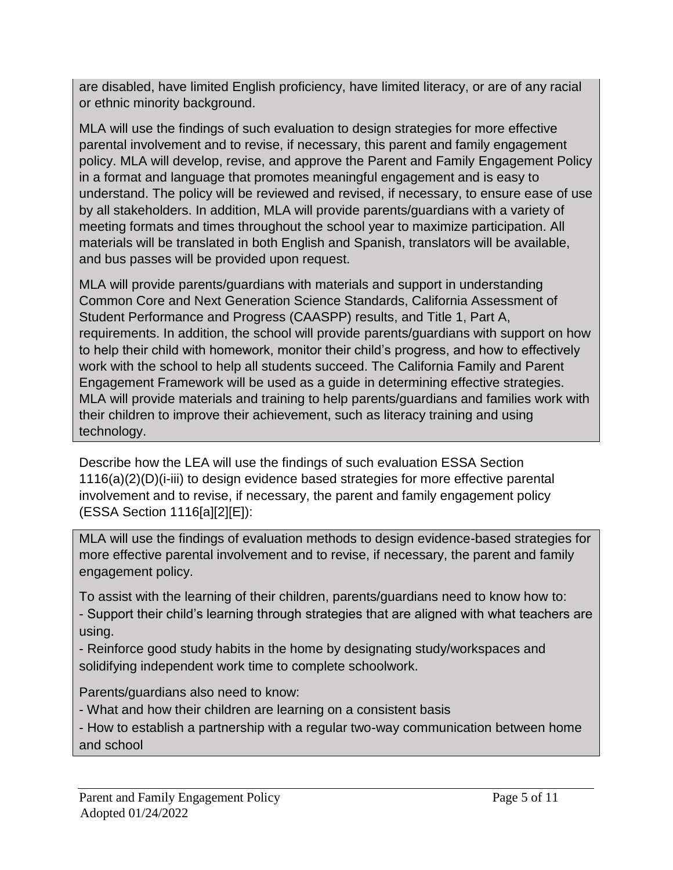are disabled, have limited English proficiency, have limited literacy, or are of any racial or ethnic minority background.

MLA will use the findings of such evaluation to design strategies for more effective parental involvement and to revise, if necessary, this parent and family engagement policy. MLA will develop, revise, and approve the Parent and Family Engagement Policy in a format and language that promotes meaningful engagement and is easy to understand. The policy will be reviewed and revised, if necessary, to ensure ease of use by all stakeholders. In addition, MLA will provide parents/guardians with a variety of meeting formats and times throughout the school year to maximize participation. All materials will be translated in both English and Spanish, translators will be available, and bus passes will be provided upon request.

MLA will provide parents/guardians with materials and support in understanding Common Core and Next Generation Science Standards, California Assessment of Student Performance and Progress (CAASPP) results, and Title 1, Part A, requirements. In addition, the school will provide parents/guardians with support on how to help their child with homework, monitor their child's progress, and how to effectively work with the school to help all students succeed. The California Family and Parent Engagement Framework will be used as a guide in determining effective strategies. MLA will provide materials and training to help parents/guardians and families work with their children to improve their achievement, such as literacy training and using technology.

Describe how the LEA will use the findings of such evaluation ESSA Section 1116(a)(2)(D)(i-iii) to design evidence based strategies for more effective parental involvement and to revise, if necessary, the parent and family engagement policy (ESSA Section 1116[a][2][E]):

MLA will use the findings of evaluation methods to design evidence-based strategies for more effective parental involvement and to revise, if necessary, the parent and family engagement policy.

To assist with the learning of their children, parents/guardians need to know how to: - Support their child's learning through strategies that are aligned with what teachers are using.

- Reinforce good study habits in the home by designating study/workspaces and solidifying independent work time to complete schoolwork.

Parents/guardians also need to know:

- What and how their children are learning on a consistent basis

- How to establish a partnership with a regular two-way communication between home and school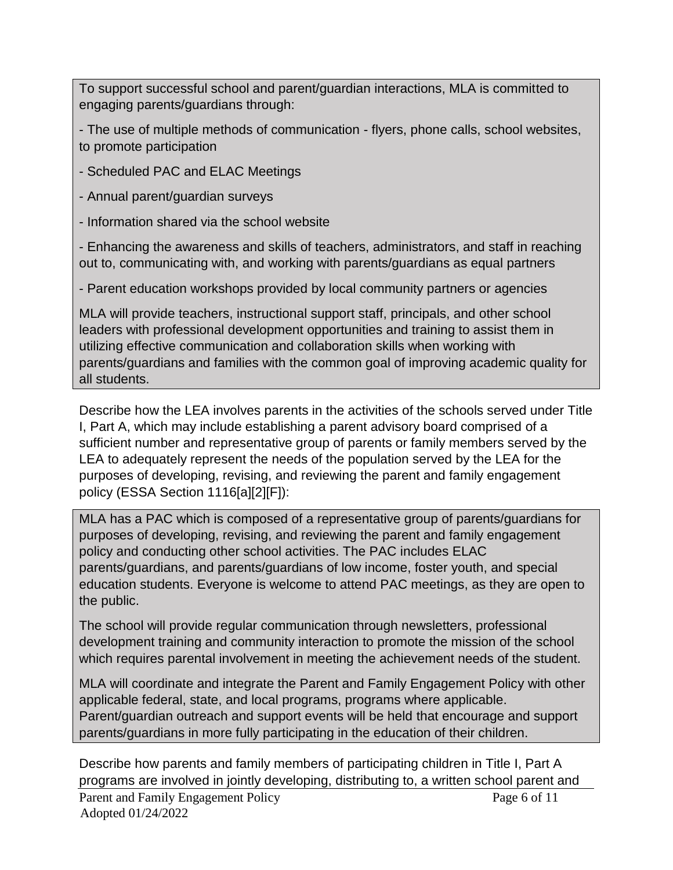To support successful school and parent/guardian interactions, MLA is committed to engaging parents/guardians through:

- The use of multiple methods of communication - flyers, phone calls, school websites, to promote participation

- Scheduled PAC and ELAC Meetings

- Annual parent/guardian surveys

- Information shared via the school website

- Enhancing the awareness and skills of teachers, administrators, and staff in reaching out to, communicating with, and working with parents/guardians as equal partners

- Parent education workshops provided by local community partners or agencies

MLA will provide teachers, instructional support staff, principals, and other school leaders with professional development opportunities and training to assist them in utilizing effective communication and collaboration skills when working with parents/guardians and families with the common goal of improving academic quality for all students.

Describe how the LEA involves parents in the activities of the schools served under Title I, Part A, which may include establishing a parent advisory board comprised of a sufficient number and representative group of parents or family members served by the LEA to adequately represent the needs of the population served by the LEA for the purposes of developing, revising, and reviewing the parent and family engagement policy (ESSA Section 1116[a][2][F]):

MLA has a PAC which is composed of a representative group of parents/guardians for purposes of developing, revising, and reviewing the parent and family engagement policy and conducting other school activities. The PAC includes ELAC parents/guardians, and parents/guardians of low income, foster youth, and special education students. Everyone is welcome to attend PAC meetings, as they are open to the public.

The school will provide regular communication through newsletters, professional development training and community interaction to promote the mission of the school which requires parental involvement in meeting the achievement needs of the student.

MLA will coordinate and integrate the Parent and Family Engagement Policy with other applicable federal, state, and local programs, programs where applicable. Parent/guardian outreach and support events will be held that encourage and support parents/guardians in more fully participating in the education of their children.

Parent and Family Engagement Policy Page 6 of 11 Adopted 01/24/2022 Describe how parents and family members of participating children in Title I, Part A programs are involved in jointly developing, distributing to, a written school parent and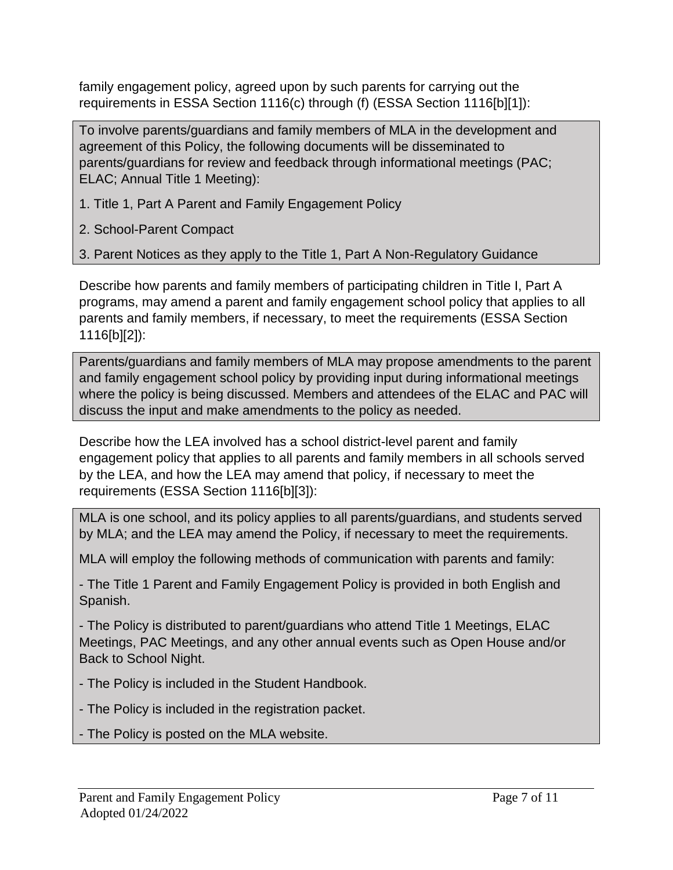family engagement policy, agreed upon by such parents for carrying out the requirements in ESSA Section 1116(c) through (f) (ESSA Section 1116[b][1]):

To involve parents/guardians and family members of MLA in the development and agreement of this Policy, the following documents will be disseminated to parents/guardians for review and feedback through informational meetings (PAC; ELAC; Annual Title 1 Meeting):

1. Title 1, Part A Parent and Family Engagement Policy

2. School-Parent Compact

3. Parent Notices as they apply to the Title 1, Part A Non-Regulatory Guidance

Describe how parents and family members of participating children in Title I, Part A programs, may amend a parent and family engagement school policy that applies to all parents and family members, if necessary, to meet the requirements (ESSA Section 1116[b][2]):

Parents/guardians and family members of MLA may propose amendments to the parent and family engagement school policy by providing input during informational meetings where the policy is being discussed. Members and attendees of the ELAC and PAC will discuss the input and make amendments to the policy as needed.

Describe how the LEA involved has a school district-level parent and family engagement policy that applies to all parents and family members in all schools served by the LEA, and how the LEA may amend that policy, if necessary to meet the requirements (ESSA Section 1116[b][3]):

MLA is one school, and its policy applies to all parents/guardians, and students served by MLA; and the LEA may amend the Policy, if necessary to meet the requirements.

MLA will employ the following methods of communication with parents and family:

- The Title 1 Parent and Family Engagement Policy is provided in both English and Spanish.

- The Policy is distributed to parent/guardians who attend Title 1 Meetings, ELAC Meetings, PAC Meetings, and any other annual events such as Open House and/or Back to School Night.

- The Policy is included in the Student Handbook.

- The Policy is included in the registration packet.

- The Policy is posted on the MLA website.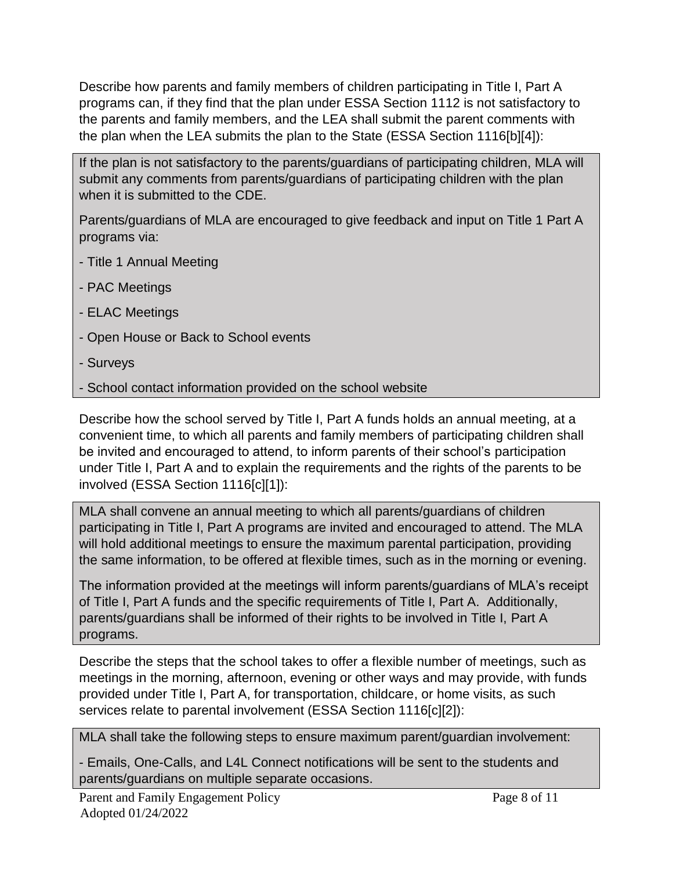Describe how parents and family members of children participating in Title I, Part A programs can, if they find that the plan under ESSA Section 1112 is not satisfactory to the parents and family members, and the LEA shall submit the parent comments with the plan when the LEA submits the plan to the State (ESSA Section 1116[b][4]):

If the plan is not satisfactory to the parents/guardians of participating children, MLA will submit any comments from parents/guardians of participating children with the plan when it is submitted to the CDE.

Parents/guardians of MLA are encouraged to give feedback and input on Title 1 Part A programs via:

- Title 1 Annual Meeting
- PAC Meetings
- ELAC Meetings
- Open House or Back to School events
- Surveys
- School contact information provided on the school website

Describe how the school served by Title I, Part A funds holds an annual meeting, at a convenient time, to which all parents and family members of participating children shall be invited and encouraged to attend, to inform parents of their school's participation under Title I, Part A and to explain the requirements and the rights of the parents to be involved (ESSA Section 1116[c][1]):

MLA shall convene an annual meeting to which all parents/guardians of children participating in Title I, Part A programs are invited and encouraged to attend. The MLA will hold additional meetings to ensure the maximum parental participation, providing the same information, to be offered at flexible times, such as in the morning or evening.

The information provided at the meetings will inform parents/guardians of MLA's receipt of Title I, Part A funds and the specific requirements of Title I, Part A. Additionally, parents/guardians shall be informed of their rights to be involved in Title I, Part A programs.

Describe the steps that the school takes to offer a flexible number of meetings, such as meetings in the morning, afternoon, evening or other ways and may provide, with funds provided under Title I, Part A, for transportation, childcare, or home visits, as such services relate to parental involvement (ESSA Section 1116[c][2]):

MLA shall take the following steps to ensure maximum parent/guardian involvement:

- Emails, One-Calls, and L4L Connect notifications will be sent to the students and parents/guardians on multiple separate occasions.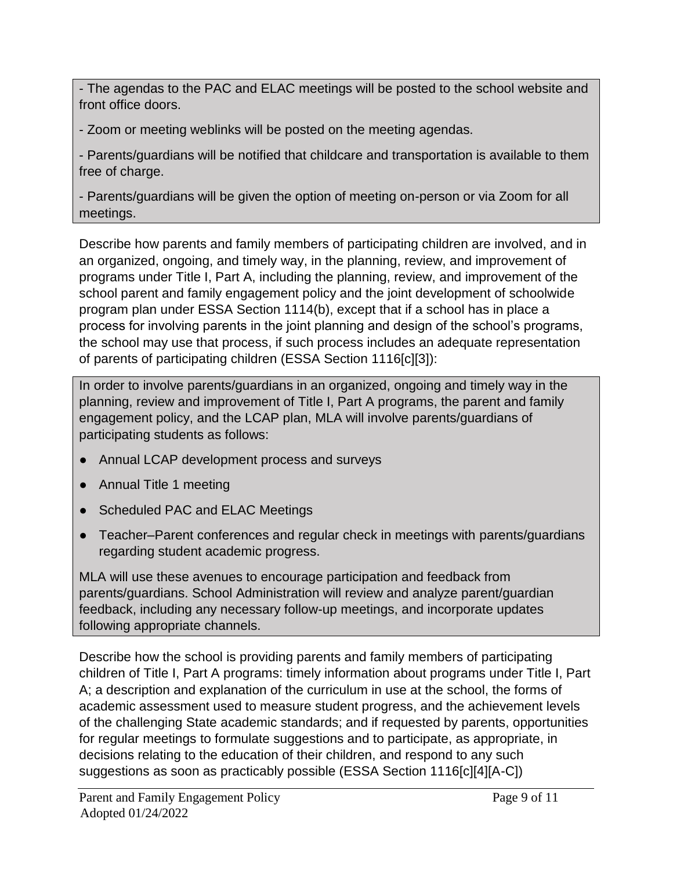- The agendas to the PAC and ELAC meetings will be posted to the school website and front office doors.

- Zoom or meeting weblinks will be posted on the meeting agendas.

- Parents/guardians will be notified that childcare and transportation is available to them free of charge.

- Parents/guardians will be given the option of meeting on-person or via Zoom for all meetings.

Describe how parents and family members of participating children are involved, and in an organized, ongoing, and timely way, in the planning, review, and improvement of programs under Title I, Part A, including the planning, review, and improvement of the school parent and family engagement policy and the joint development of schoolwide program plan under ESSA Section 1114(b), except that if a school has in place a process for involving parents in the joint planning and design of the school's programs, the school may use that process, if such process includes an adequate representation of parents of participating children (ESSA Section 1116[c][3]):

In order to involve parents/guardians in an organized, ongoing and timely way in the planning, review and improvement of Title I, Part A programs, the parent and family engagement policy, and the LCAP plan, MLA will involve parents/guardians of participating students as follows:

- Annual LCAP development process and surveys
- Annual Title 1 meeting
- Scheduled PAC and ELAC Meetings
- Teacher–Parent conferences and regular check in meetings with parents/guardians regarding student academic progress.

MLA will use these avenues to encourage participation and feedback from parents/guardians. School Administration will review and analyze parent/guardian feedback, including any necessary follow-up meetings, and incorporate updates following appropriate channels.

Describe how the school is providing parents and family members of participating children of Title I, Part A programs: timely information about programs under Title I, Part A; a description and explanation of the curriculum in use at the school, the forms of academic assessment used to measure student progress, and the achievement levels of the challenging State academic standards; and if requested by parents, opportunities for regular meetings to formulate suggestions and to participate, as appropriate, in decisions relating to the education of their children, and respond to any such suggestions as soon as practicably possible (ESSA Section 1116[c][4][A-C])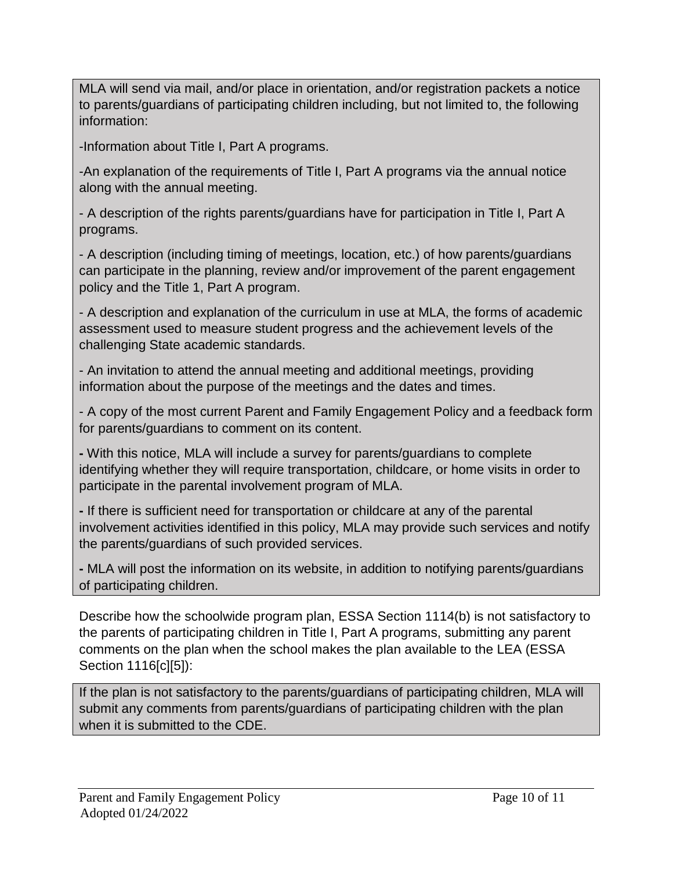MLA will send via mail, and/or place in orientation, and/or registration packets a notice to parents/guardians of participating children including, but not limited to, the following information:

-Information about Title I, Part A programs.

-An explanation of the requirements of Title I, Part A programs via the annual notice along with the annual meeting.

- A description of the rights parents/guardians have for participation in Title I, Part A programs.

- A description (including timing of meetings, location, etc.) of how parents/guardians can participate in the planning, review and/or improvement of the parent engagement policy and the Title 1, Part A program.

- A description and explanation of the curriculum in use at MLA, the forms of academic assessment used to measure student progress and the achievement levels of the challenging State academic standards.

- An invitation to attend the annual meeting and additional meetings, providing information about the purpose of the meetings and the dates and times.

- A copy of the most current Parent and Family Engagement Policy and a feedback form for parents/guardians to comment on its content.

**-** With this notice, MLA will include a survey for parents/guardians to complete identifying whether they will require transportation, childcare, or home visits in order to participate in the parental involvement program of MLA.

**-** If there is sufficient need for transportation or childcare at any of the parental involvement activities identified in this policy, MLA may provide such services and notify the parents/guardians of such provided services.

**-** MLA will post the information on its website, in addition to notifying parents/guardians of participating children.

Describe how the schoolwide program plan, ESSA Section 1114(b) is not satisfactory to the parents of participating children in Title I, Part A programs, submitting any parent comments on the plan when the school makes the plan available to the LEA (ESSA Section 1116[c][5]):

If the plan is not satisfactory to the parents/guardians of participating children, MLA will submit any comments from parents/guardians of participating children with the plan when it is submitted to the CDE.